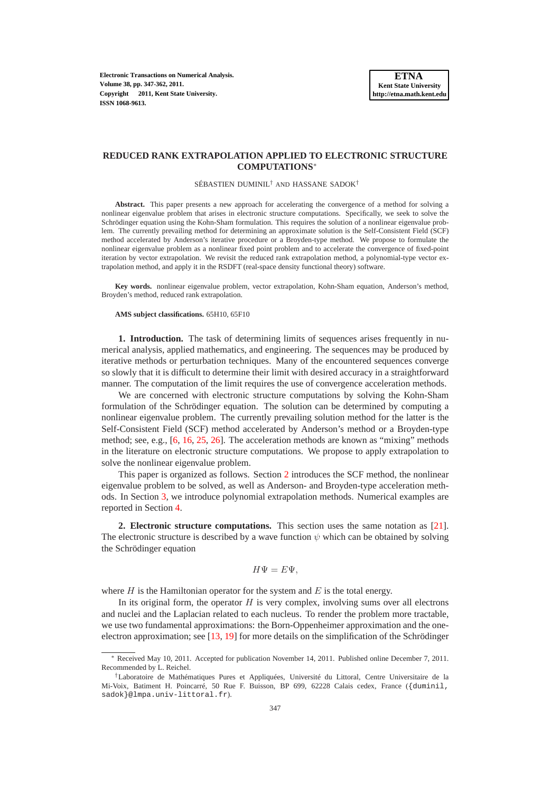**Electronic Transactions on Numerical Analysis. Volume 38, pp. 347-362, 2011. Copyright 2011, Kent State University. ISSN 1068-9613.**

# **REDUCED RANK EXTRAPOLATION APPLIED TO ELECTRONIC STRUCTURE COMPUTATIONS**<sup>∗</sup>

SÉBASTIEN DUMINIL† AND HASSANE SADOK†

**Abstract.** This paper presents a new approach for accelerating the convergence of a method for solving a nonlinear eigenvalue problem that arises in electronic structure computations. Specifically, we seek to solve the Schrödinger equation using the Kohn-Sham formulation. This requires the solution of a nonlinear eigenvalue problem. The currently prevailing method for determining an approximate solution is the Self-Consistent Field (SCF) method accelerated by Anderson's iterative procedure or a Broyden-type method. We propose to formulate the nonlinear eigenvalue problem as a nonlinear fixed point problem and to accelerate the convergence of fixed-point iteration by vector extrapolation. We revisit the reduced rank extrapolation method, a polynomial-type vector extrapolation method, and apply it in the RSDFT (real-space density functional theory) software.

**Key words.** nonlinear eigenvalue problem, vector extrapolation, Kohn-Sham equation, Anderson's method, Broyden's method, reduced rank extrapolation.

### **AMS subject classifications.** 65H10, 65F10

**1. Introduction.** The task of determining limits of sequences arises frequently in numerical analysis, applied mathematics, and engineering. The sequences may be produced by iterative methods or perturbation techniques. Many of the encountered sequences converge so slowly that it is difficult to determine their limit with desired accuracy in a straightforward manner. The computation of the limit requires the use of convergence acceleration methods.

We are concerned with electronic structure computations by solving the Kohn-Sham formulation of the Schrödinger equation. The solution can be determined by computing a nonlinear eigenvalue problem. The currently prevailing solution method for the latter is the Self-Consistent Field (SCF) method accelerated by Anderson's method or a Broyden-type method; see, e.g., [\[6,](#page-15-0) [16,](#page-15-1) [25,](#page-15-2) [26\]](#page-15-3). The acceleration methods are known as "mixing" methods in the literature on electronic structure computations. We propose to apply extrapolation to solve the nonlinear eigenvalue problem.

This paper is organized as follows. Section [2](#page-0-0) introduces the SCF method, the nonlinear eigenvalue problem to be solved, as well as Anderson- and Broyden-type acceleration methods. In Section [3,](#page-4-0) we introduce polynomial extrapolation methods. Numerical examples are reported in Section [4.](#page-11-0)

<span id="page-0-0"></span>**2. Electronic structure computations.** This section uses the same notation as [\[21\]](#page-15-4). The electronic structure is described by a wave function  $\psi$  which can be obtained by solving the Schrödinger equation

$$
H\Psi = E\Psi,
$$

where  $H$  is the Hamiltonian operator for the system and  $E$  is the total energy.

In its original form, the operator  $H$  is very complex, involving sums over all electrons and nuclei and the Laplacian related to each nucleus. To render the problem more tractable, we use two fundamental approximations: the Born-Oppenheimer approximation and the oneelectron approximation; see [\[13,](#page-15-5) [19\]](#page-15-6) for more details on the simplification of the Schrödinger

<sup>∗</sup> Received May 10, 2011. Accepted for publication November 14, 2011. Published online December 7, 2011. Recommended by L. Reichel.

<sup>†</sup>Laboratoire de Mathématiques Pures et Appliquées, Université du Littoral, Centre Universitaire de la Mi-Voix, Batiment H. Poincarré, 50 Rue F. Buisson, BP 699, 62228 Calais cedex, France ({duminil, sadok}@lmpa.univ-littoral.fr).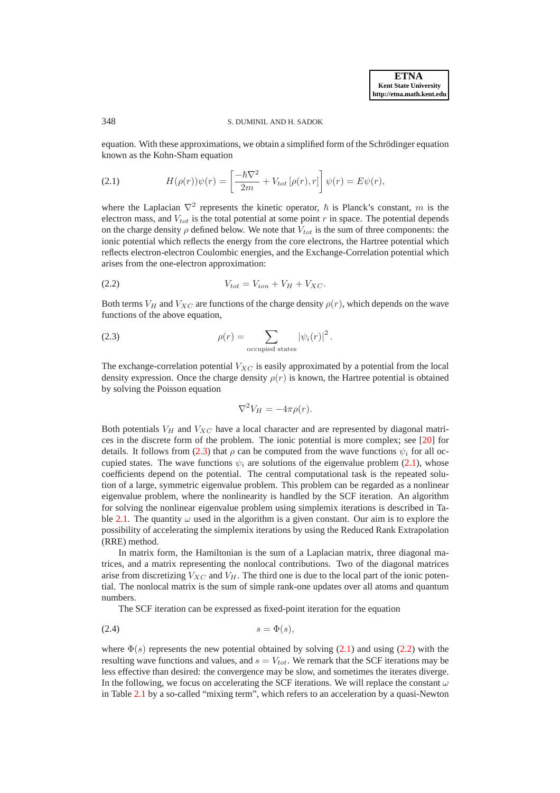#### 348 S. DUMINIL AND H. SADOK

<span id="page-1-1"></span>equation. With these approximations, we obtain a simplified form of the Schrödinger equation known as the Kohn-Sham equation

(2.1) 
$$
H(\rho(r))\psi(r) = \left[\frac{-\hbar\nabla^2}{2m} + V_{tot}[\rho(r),r]\right]\psi(r) = E\psi(r),
$$

where the Laplacian  $\nabla^2$  represents the kinetic operator,  $\hbar$  is Planck's constant, m is the electron mass, and  $V_{tot}$  is the total potential at some point r in space. The potential depends on the charge density  $\rho$  defined below. We note that  $V_{tot}$  is the sum of three components: the ionic potential which reflects the energy from the core electrons, the Hartree potential which reflects electron-electron Coulombic energies, and the Exchange-Correlation potential which arises from the one-electron approximation:

(2.2) 
$$
V_{tot} = V_{ion} + V_H + V_{XC}.
$$

Both terms  $V_H$  and  $V_{XC}$  are functions of the charge density  $\rho(r)$ , which depends on the wave functions of the above equation,

(2.3) 
$$
\rho(r) = \sum_{\text{occupied states}} |\psi_i(r)|^2.
$$

The exchange-correlation potential  $V_{XC}$  is easily approximated by a potential from the local density expression. Once the charge density  $\rho(r)$  is known, the Hartree potential is obtained by solving the Poisson equation

<span id="page-1-3"></span><span id="page-1-2"></span><span id="page-1-0"></span>
$$
\nabla^2 V_H = -4\pi \rho(r).
$$

Both potentials  $V_H$  and  $V_{XC}$  have a local character and are represented by diagonal matrices in the discrete form of the problem. The ionic potential is more complex; see [\[20\]](#page-15-7) for details. It follows from [\(2.3\)](#page-1-0) that  $\rho$  can be computed from the wave functions  $\psi_i$  for all occupied states. The wave functions  $\psi_i$  are solutions of the eigenvalue problem [\(2.1\)](#page-1-1), whose coefficients depend on the potential. The central computational task is the repeated solution of a large, symmetric eigenvalue problem. This problem can be regarded as a nonlinear eigenvalue problem, where the nonlinearity is handled by the SCF iteration. An algorithm for solving the nonlinear eigenvalue problem using simplemix iterations is described in Ta-ble [2.1.](#page-2-0) The quantity  $\omega$  used in the algorithm is a given constant. Our aim is to explore the possibility of accelerating the simplemix iterations by using the Reduced Rank Extrapolation (RRE) method.

In matrix form, the Hamiltonian is the sum of a Laplacian matrix, three diagonal matrices, and a matrix representing the nonlocal contributions. Two of the diagonal matrices arise from discretizing  $V_{XC}$  and  $V_H$ . The third one is due to the local part of the ionic potential. The nonlocal matrix is the sum of simple rank-one updates over all atoms and quantum numbers.

The SCF iteration can be expressed as fixed-point iteration for the equation

$$
(2.4) \t\t s = \Phi(s),
$$

where  $\Phi(s)$  represents the new potential obtained by solving [\(2.1\)](#page-1-1) and using [\(2.2\)](#page-1-2) with the resulting wave functions and values, and  $s = V_{tot}$ . We remark that the SCF iterations may be less effective than desired: the convergence may be slow, and sometimes the iterates diverge. In the following, we focus on accelerating the SCF iterations. We will replace the constant  $\omega$ in Table [2.1](#page-2-0) by a so-called "mixing term", which refers to an acceleration by a quasi-Newton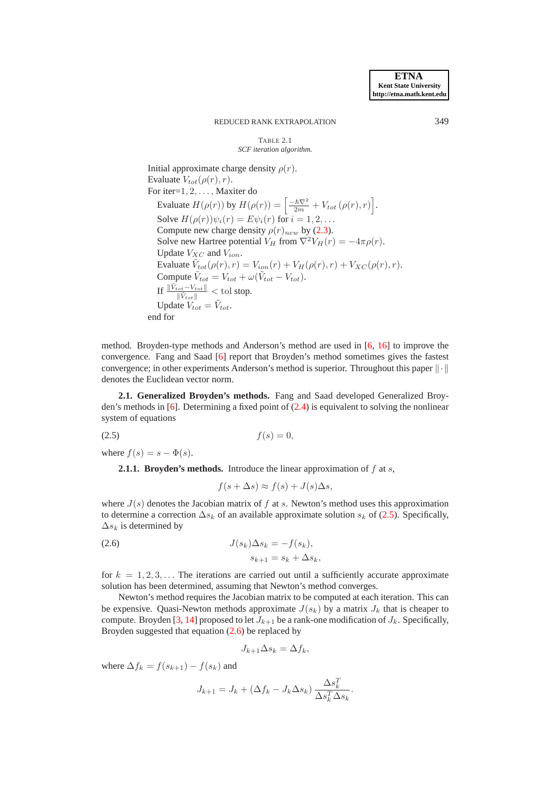#### <span id="page-2-0"></span>TABLE 2.1 *SCF iteration algorithm.*

Initial approximate charge density  $\rho(r)$ . Evaluate  $V_{tot}(\rho(r),r)$ . For iter=1, 2,... , Maxiter do Evaluate  $H(\rho(r))$  by  $H(\rho(r)) = \left[\frac{-\hbar \nabla^2}{2m} + V_{tot}(\rho(r), r)\right]$ . Solve  $H(\rho(r))\psi_i(r) = E\psi_i(r)$  for  $i = 1, 2, \ldots$ Compute new charge density  $\rho(r)_{new}$  by [\(2.3\)](#page-1-0). Solve new Hartree potential  $V_H$  from  $\nabla^2 V_H(r) = -4\pi \rho(r)$ . Update  $V_{XC}$  and  $V_{ion}$ . Evaluate  $\tilde{V}_{tot}(\rho(r),r) = V_{ion}(r) + V_H(\rho(r),r) + V_{XC}(\rho(r),r).$ Compute  $\tilde{V}_{tot} = V_{tot} + \omega(\tilde{V}_{tot} - V_{tot})$ . If  $\frac{\|\tilde{V}_{tot} - V_{tot}\|}{\|\tilde{V}_{tot}\|}$  < tol stop. Update  $V_{tot} = \tilde{V}_{tot}$ . end for

method. Broyden-type methods and Anderson's method are used in [\[6,](#page-15-0) [16\]](#page-15-1) to improve the convergence. Fang and Saad [\[6\]](#page-15-0) report that Broyden's method sometimes gives the fastest convergence; in other experiments Anderson's method is superior. Throughout this paper  $\|\cdot\|$ denotes the Euclidean vector norm.

**2.1. Generalized Broyden's methods.** Fang and Saad developed Generalized Broyden's methods in [\[6\]](#page-15-0). Determining a fixed point of [\(2.4\)](#page-1-3) is equivalent to solving the nonlinear system of equations

<span id="page-2-1"></span>
$$
(2.5) \t\t f(s) = 0,
$$

where  $f(s) = s - \Phi(s)$ .

**2.1.1. Broyden's methods.** Introduce the linear approximation of  $f$  at  $s$ ,

<span id="page-2-2"></span>
$$
f(s + \Delta s) \approx f(s) + J(s)\Delta s,
$$

where  $J(s)$  denotes the Jacobian matrix of f at s. Newton's method uses this approximation to determine a correction  $\Delta s_k$  of an available approximate solution  $s_k$  of [\(2.5\)](#page-2-1). Specifically,  $\Delta s_k$  is determined by

(2.6) 
$$
J(s_k)\Delta s_k = -f(s_k),
$$

$$
s_{k+1} = s_k + \Delta s_k,
$$

for  $k = 1, 2, 3, \ldots$  The iterations are carried out until a sufficiently accurate approximate solution has been determined, assuming that Newton's method converges.

Newton's method requires the Jacobian matrix to be computed at each iteration. This can be expensive. Quasi-Newton methods approximate  $J(s_k)$  by a matrix  $J_k$  that is cheaper to compute. Broyden [\[3,](#page-15-8) [14\]](#page-15-9) proposed to let  $J_{k+1}$  be a rank-one modification of  $J_k$ . Specifically, Broyden suggested that equation [\(2.6\)](#page-2-2) be replaced by

$$
J_{k+1}\Delta s_k = \Delta f_k,
$$

where  $\Delta f_k = f(s_{k+1}) - f(s_k)$  and

$$
J_{k+1} = J_k + (\Delta f_k - J_k \Delta s_k) \frac{\Delta s_k^T}{\Delta s_k^T \Delta s_k}.
$$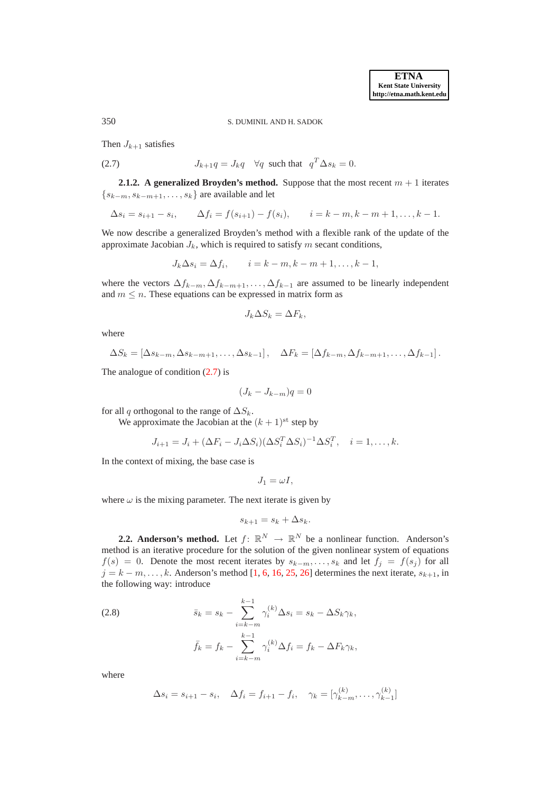350 S. DUMINIL AND H. SADOK

<span id="page-3-0"></span>Then  $J_{k+1}$  satisfies

(2.7) 
$$
J_{k+1}q = J_k q \quad \forall q \text{ such that } q^T \Delta s_k = 0.
$$

**2.1.2. A generalized Broyden's method.** Suppose that the most recent  $m + 1$  iterates  $\{s_{k-m}, s_{k-m+1}, \ldots, s_k\}$  are available and let

$$
\Delta s_i = s_{i+1} - s_i
$$
,  $\Delta f_i = f(s_{i+1}) - f(s_i)$ ,  $i = k - m, k - m + 1, ..., k - 1$ .

We now describe a generalized Broyden's method with a flexible rank of the update of the approximate Jacobian  $J_k$ , which is required to satisfy m secant conditions,

$$
J_k \Delta s_i = \Delta f_i, \qquad i = k - m, k - m + 1, \dots, k - 1,
$$

where the vectors  $\Delta f_{k-m}$ ,  $\Delta f_{k-m+1}$ , ...,  $\Delta f_{k-1}$  are assumed to be linearly independent and  $m \leq n$ . These equations can be expressed in matrix form as

$$
J_k \Delta S_k = \Delta F_k,
$$

where

$$
\Delta S_k = [\Delta s_{k-m}, \Delta s_{k-m+1}, \dots, \Delta s_{k-1}], \quad \Delta F_k = [\Delta f_{k-m}, \Delta f_{k-m+1}, \dots, \Delta f_{k-1}].
$$

The analogue of condition [\(2.7\)](#page-3-0) is

$$
(J_k - J_{k-m})q = 0
$$

for all q orthogonal to the range of  $\Delta S_k$ .

We approximate the Jacobian at the  $(k + 1)$ <sup>st</sup> step by

$$
J_{i+1} = J_i + (\Delta F_i - J_i \Delta S_i)(\Delta S_i^T \Delta S_i)^{-1} \Delta S_i^T, \quad i = 1, \dots, k.
$$

In the context of mixing, the base case is

$$
J_1=\omega I,
$$

where  $\omega$  is the mixing parameter. The next iterate is given by

$$
s_{k+1} = s_k + \Delta s_k.
$$

**2.2. Anderson's method.** Let  $f: \mathbb{R}^N \to \mathbb{R}^N$  be a nonlinear function. Anderson's method is an iterative procedure for the solution of the given nonlinear system of equations  $f(s) = 0$ . Denote the most recent iterates by  $s_{k-m}, \ldots, s_k$  and let  $f_i = f(s_i)$  for all  $j = k - m, \ldots, k$ . Anderson's method [\[1,](#page-15-10) [6,](#page-15-0) [16,](#page-15-1) [25,](#page-15-2) [26\]](#page-15-3) determines the next iterate,  $s_{k+1}$ , in the following way: introduce

<span id="page-3-1"></span>(2.8) 
$$
\bar{s}_k = s_k - \sum_{i=k-m}^{k-1} \gamma_i^{(k)} \Delta s_i = s_k - \Delta S_k \gamma_k,
$$

$$
\bar{f}_k = f_k - \sum_{i=k-m}^{k-1} \gamma_i^{(k)} \Delta f_i = f_k - \Delta F_k \gamma_k,
$$

where

$$
\Delta s_i = s_{i+1} - s_i, \quad \Delta f_i = f_{i+1} - f_i, \quad \gamma_k = [\gamma_{k-m}^{(k)}, \dots, \gamma_{k-1}^{(k)}]
$$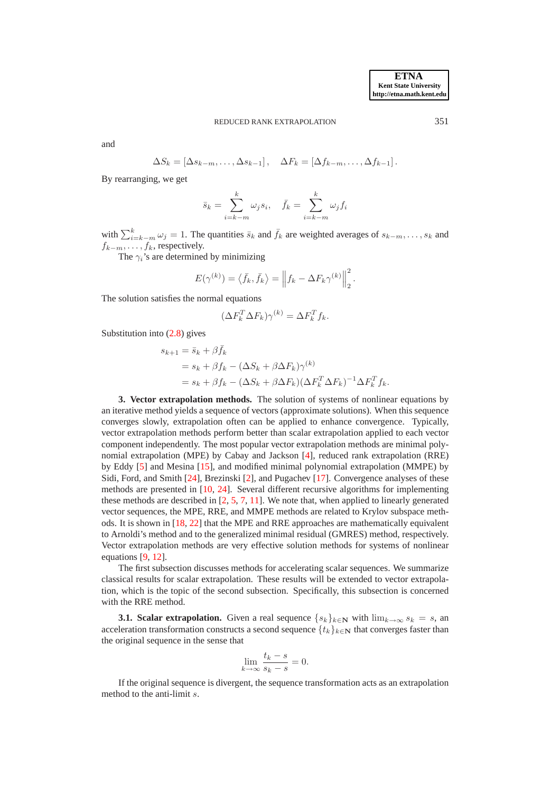and

$$
\Delta S_k = [\Delta s_{k-m}, \dots, \Delta s_{k-1}], \quad \Delta F_k = [\Delta f_{k-m}, \dots, \Delta f_{k-1}].
$$

By rearranging, we get

$$
\bar{s}_k = \sum_{i=k-m}^k \omega_j s_i, \quad \bar{f}_k = \sum_{i=k-m}^k \omega_j f_i
$$

with  $\sum_{i=k-m}^{k} \omega_j = 1$ . The quantities  $\bar{s}_k$  and  $\bar{f}_k$  are weighted averages of  $s_{k-m}, \ldots, s_k$  and  $f_{k-m}, \ldots, f_k$ , respectively.

The  $\gamma_i$ 's are determined by minimizing

$$
E(\gamma^{(k)}) = \langle \bar{f}_k, \bar{f}_k \rangle = \left\| f_k - \Delta F_k \gamma^{(k)} \right\|_2^2.
$$

The solution satisfies the normal equations

$$
(\Delta F_k^T \Delta F_k) \gamma^{(k)} = \Delta F_k^T f_k.
$$

Substitution into [\(2.8\)](#page-3-1) gives

$$
s_{k+1} = \bar{s}_k + \beta \bar{f}_k
$$
  
=  $s_k + \beta f_k - (\Delta S_k + \beta \Delta F_k) \gamma^{(k)}$   
=  $s_k + \beta f_k - (\Delta S_k + \beta \Delta F_k)(\Delta F_k^T \Delta F_k)^{-1} \Delta F_k^T f_k.$ 

<span id="page-4-0"></span>**3. Vector extrapolation methods.** The solution of systems of nonlinear equations by an iterative method yields a sequence of vectors (approximate solutions). When this sequence converges slowly, extrapolation often can be applied to enhance convergence. Typically, vector extrapolation methods perform better than scalar extrapolation applied to each vector component independently. The most popular vector extrapolation methods are minimal polynomial extrapolation (MPE) by Cabay and Jackson [\[4\]](#page-15-11), reduced rank extrapolation (RRE) by Eddy [\[5\]](#page-15-12) and Mesina [\[15\]](#page-15-13), and modified minimal polynomial extrapolation (MMPE) by Sidi, Ford, and Smith [\[24\]](#page-15-14), Brezinski [\[2\]](#page-15-15), and Pugachev [\[17\]](#page-15-16). Convergence analyses of these methods are presented in [\[10,](#page-15-17) [24\]](#page-15-14). Several different recursive algorithms for implementing these methods are described in  $[2, 5, 7, 11]$  $[2, 5, 7, 11]$  $[2, 5, 7, 11]$  $[2, 5, 7, 11]$  $[2, 5, 7, 11]$  $[2, 5, 7, 11]$  $[2, 5, 7, 11]$ . We note that, when applied to linearly generated vector sequences, the MPE, RRE, and MMPE methods are related to Krylov subspace methods. It is shown in [\[18,](#page-15-20) [22\]](#page-15-21) that the MPE and RRE approaches are mathematically equivalent to Arnoldi's method and to the generalized minimal residual (GMRES) method, respectively. Vector extrapolation methods are very effective solution methods for systems of nonlinear equations [\[9,](#page-15-22) [12\]](#page-15-23).

The first subsection discusses methods for accelerating scalar sequences. We summarize classical results for scalar extrapolation. These results will be extended to vector extrapolation, which is the topic of the second subsection. Specifically, this subsection is concerned with the RRE method.

**3.1. Scalar extrapolation.** Given a real sequence  $\{s_k\}_{k\in\mathbb{N}}$  with  $\lim_{k\to\infty} s_k = s$ , an acceleration transformation constructs a second sequence  $\{t_k\}_{k\in\mathbb{N}}$  that converges faster than the original sequence in the sense that

$$
\lim_{k \to \infty} \frac{t_k - s}{s_k - s} = 0.
$$

If the original sequence is divergent, the sequence transformation acts as an extrapolation method to the anti-limit s.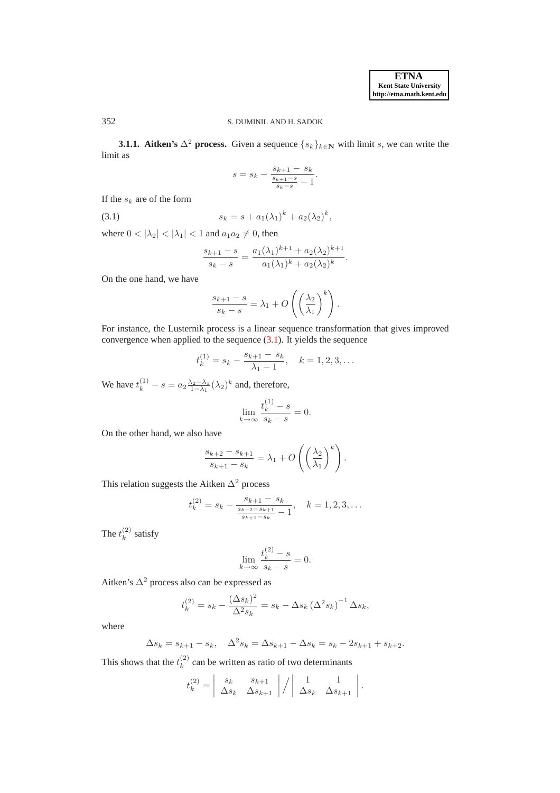# 352 S. DUMINIL AND H. SADOK

**3.1.1. Aitken's**  $\Delta^2$  **process.** Given a sequence  $\{s_k\}_{k\in\mathbb{N}}$  with limit s, we can write the limit as

<span id="page-5-0"></span>
$$
s = s_k - \frac{s_{k+1} - s_k}{\frac{s_{k+1} - s}{s_k - s} - 1}.
$$

If the  $s_k$  are of the form

(3.1) 
$$
s_k = s + a_1(\lambda_1)^k + a_2(\lambda_2)^k,
$$

where  $0 < |\lambda_2| < |\lambda_1| < 1$  and  $a_1 a_2 \neq 0$ , then

$$
\frac{s_{k+1} - s}{s_k - s} = \frac{a_1(\lambda_1)^{k+1} + a_2(\lambda_2)^{k+1}}{a_1(\lambda_1)^k + a_2(\lambda_2)^k}.
$$

On the one hand, we have

$$
\frac{s_{k+1} - s}{s_k - s} = \lambda_1 + O\left(\left(\frac{\lambda_2}{\lambda_1}\right)^k\right).
$$

For instance, the Lusternik process is a linear sequence transformation that gives improved convergence when applied to the sequence [\(3.1\)](#page-5-0). It yields the sequence

$$
t_k^{(1)} = s_k - \frac{s_{k+1} - s_k}{\lambda_1 - 1}, \quad k = 1, 2, 3, \dots
$$

We have  $t_k^{(1)} - s = a_2 \frac{\lambda_2 - \lambda_1}{1 - \lambda_1} (\lambda_2)^k$  and, therefore,

$$
\lim_{k \to \infty} \frac{t_k^{(1)} - s}{s_k - s} = 0.
$$

On the other hand, we also have

$$
\frac{s_{k+2} - s_{k+1}}{s_{k+1} - s_k} = \lambda_1 + O\left(\left(\frac{\lambda_2}{\lambda_1}\right)^k\right).
$$

This relation suggests the Aitken  $\Delta^2$  process

$$
t_k^{(2)} = s_k - \frac{s_{k+1} - s_k}{\frac{s_{k+2} - s_{k+1}}{s_{k+1} - s_k} - 1}, \quad k = 1, 2, 3, \dots
$$

The  $t_k^{(2)}$  $\binom{2}{k}$  satisfy

$$
\lim_{k \to \infty} \frac{t_k^{(2)} - s}{s_k - s} = 0.
$$

Aitken's  $\Delta^2$  process also can be expressed as

$$
t_k^{(2)} = s_k - \frac{(\Delta s_k)^2}{\Delta^2 s_k} = s_k - \Delta s_k (\Delta^2 s_k)^{-1} \Delta s_k,
$$

where

$$
\Delta s_k = s_{k+1} - s_k, \quad \Delta^2 s_k = \Delta s_{k+1} - \Delta s_k = s_k - 2s_{k+1} + s_{k+2}.
$$

This shows that the  $t_k^{(2)}$  $k<sup>(2)</sup>$  can be written as ratio of two determinants

$$
t_k^{(2)} = \begin{vmatrix} s_k & s_{k+1} \\ \Delta s_k & \Delta s_{k+1} \end{vmatrix} / \begin{vmatrix} 1 & 1 \\ \Delta s_k & \Delta s_{k+1} \end{vmatrix}.
$$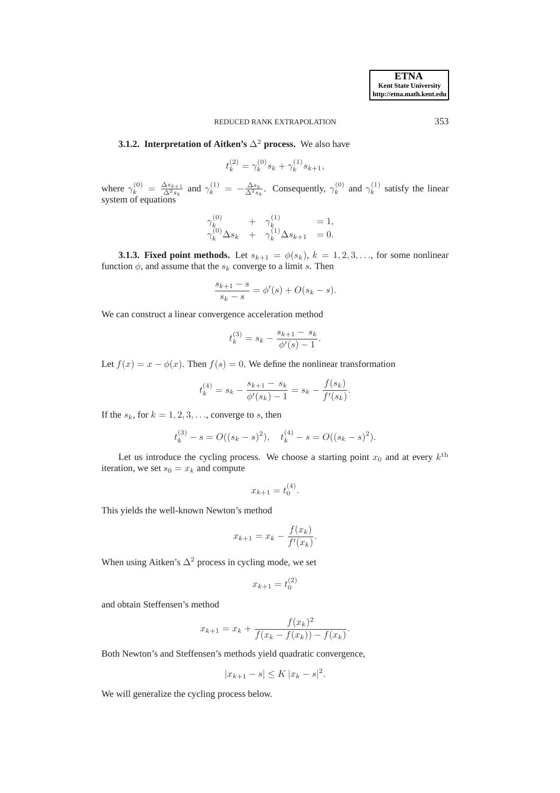## **3.1.2. Interpretation of Aitken's**  $\Delta^2$  **process.** We also have

$$
t_k^{(2)} = \gamma_k^{(0)} s_k + \gamma_k^{(1)} s_{k+1},
$$

where  $\gamma_k^{(0)} = \frac{\Delta s_{k+1}}{\Delta^2 s_k}$  and  $\gamma_k^{(1)} = -\frac{\Delta s_k}{\Delta^2 s_k}$ . Consequently,  $\gamma_k^{(0)}$  $\chi_k^{(0)}$  and  $\gamma_k^{(1)}$  $k^{(1)}$  satisfy the linear system of equations

$$
\gamma_k^{(0)} + \gamma_k^{(1)} = 1, \n\gamma_k^{(0)} \Delta s_k + \gamma_k^{(1)} \Delta s_{k+1} = 0.
$$

**3.1.3. Fixed point methods.** Let  $s_{k+1} = \phi(s_k)$ ,  $k = 1, 2, 3, \ldots$ , for some nonlinear function  $\phi$ , and assume that the  $s_k$  converge to a limit s. Then

$$
\frac{s_{k+1} - s}{s_k - s} = \phi'(s) + O(s_k - s).
$$

We can construct a linear convergence acceleration method

$$
t_k^{(3)} = s_k - \frac{s_{k+1} - s_k}{\phi'(s) - 1}.
$$

Let  $f(x) = x - \phi(x)$ . Then  $f(s) = 0$ . We define the nonlinear transformation

$$
t_k^{(4)} = s_k - \frac{s_{k+1} - s_k}{\phi'(s_k) - 1} = s_k - \frac{f(s_k)}{f'(s_k)}.
$$

If the  $s_k$ , for  $k = 1, 2, 3, \ldots$ , converge to s, then

$$
t_k^{(3)} - s = O((s_k - s)^2), \quad t_k^{(4)} - s = O((s_k - s)^2).
$$

Let us introduce the cycling process. We choose a starting point  $x_0$  and at every  $k^{\text{th}}$ iteration, we set  $s_0 = x_k$  and compute

$$
x_{k+1} = t_0^{(4)}.
$$

This yields the well-known Newton's method

$$
x_{k+1} = x_k - \frac{f(x_k)}{f'(x_k)}.
$$

When using Aitken's  $\Delta^2$  process in cycling mode, we set

$$
x_{k+1} = t_0^{(2)}
$$

and obtain Steffensen's method

$$
x_{k+1} = x_k + \frac{f(x_k)^2}{f(x_k - f(x_k)) - f(x_k)}
$$

.

Both Newton's and Steffensen's methods yield quadratic convergence,

$$
|x_{k+1} - s| \le K |x_k - s|^2.
$$

We will generalize the cycling process below.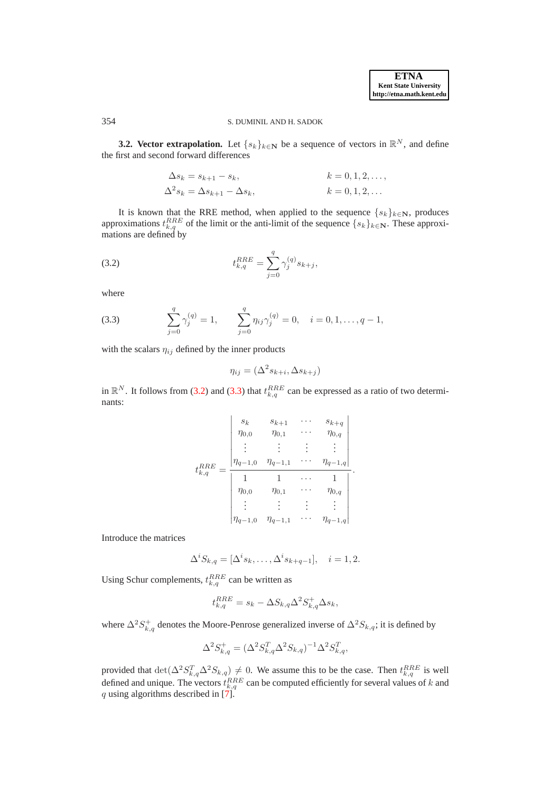# 354 S. DUMINIL AND H. SADOK

**3.2. Vector extrapolation.** Let  $\{s_k\}_{k\in\mathbb{N}}$  be a sequence of vectors in  $\mathbb{R}^N$ , and define the first and second forward differences

<span id="page-7-0"></span>
$$
\Delta s_k = s_{k+1} - s_k, \qquad k = 0, 1, 2, \dots,
$$
  

$$
\Delta^2 s_k = \Delta s_{k+1} - \Delta s_k, \qquad k = 0, 1, 2, \dots
$$

It is known that the RRE method, when applied to the sequence  $\{s_k\}_{k\in\mathbb{N}}$ , produces approximations  $t_{k,q}^{RRE}$  of the limit or the anti-limit of the sequence  $\{s_k\}_{k\in\mathbb{N}}$ . These approximations are defined by

(3.2) 
$$
t_{k,q}^{RRE} = \sum_{j=0}^{q} \gamma_j^{(q)} s_{k+j},
$$

<span id="page-7-1"></span>where

(3.3) 
$$
\sum_{j=0}^{q} \gamma_j^{(q)} = 1, \qquad \sum_{j=0}^{q} \eta_{ij} \gamma_j^{(q)} = 0, \quad i = 0, 1, \dots, q-1,
$$

with the scalars  $\eta_{ij}$  defined by the inner products

$$
\eta_{ij} = (\Delta^2 s_{k+i}, \Delta s_{k+j})
$$

in  $\mathbb{R}^N$ . It follows from [\(3.2\)](#page-7-0) and [\(3.3\)](#page-7-1) that  $t_{k,q}^{RRE}$  can be expressed as a ratio of two determinants:

$$
t_{k,q}^{RRE} = \frac{\begin{vmatrix} s_k & s_{k+1} & \cdots & s_{k+q} \\ \eta_{0,0} & \eta_{0,1} & \cdots & \eta_{0,q} \\ \vdots & \vdots & \vdots & \vdots \\ \eta_{q-1,0} & \eta_{q-1,1} & \cdots & \eta_{q-1,q} \\ \hline 1 & 1 & \cdots & 1 \\ \eta_{0,0} & \eta_{0,1} & \cdots & \eta_{0,q} \\ \vdots & \vdots & \vdots & \vdots \\ \eta_{q-1,0} & \eta_{q-1,1} & \cdots & \eta_{q-1,q} \end{vmatrix}}.
$$

Introduce the matrices

$$
\Delta^i S_{k,q} = [\Delta^i s_k, \dots, \Delta^i s_{k+q-1}], \quad i = 1, 2.
$$

Using Schur complements,  $t_{k,q}^{RRE}$  can be written as

$$
t_{k,q}^{RRE} = s_k - \Delta S_{k,q} \Delta^2 S_{k,q}^+ \Delta s_k,
$$

where  $\Delta^2 S_{k,q}^+$  denotes the Moore-Penrose generalized inverse of  $\Delta^2 S_{k,q}$ ; it is defined by

$$
\Delta^2 S_{k,q}^+ = (\Delta^2 S_{k,q}^T \Delta^2 S_{k,q})^{-1} \Delta^2 S_{k,q}^T,
$$

provided that  $\det(\Delta^2 S_{k,q}^T \Delta^2 S_{k,q}) \neq 0$ . We assume this to be the case. Then  $t_{k,q}^{RRE}$  is well defined and unique. The vectors  $t_{k,q}^{RRE}$  can be computed efficiently for several values of k and q using algorithms described in  $\left[7\right]$ .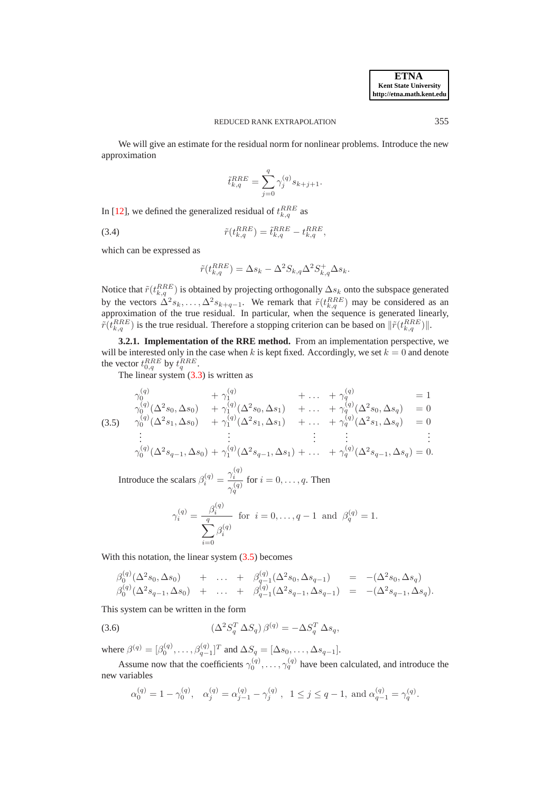We will give an estimate for the residual norm for nonlinear problems. Introduce the new approximation

<span id="page-8-2"></span>
$$
\tilde{t}_{k,q}^{RRE} = \sum_{j=0}^{q} \gamma_j^{(q)} s_{k+j+1}.
$$

In [\[12\]](#page-15-23), we defined the generalized residual of  $t_{k,q}^{RRE}$  as

(3.4) 
$$
\tilde{r}(t_{k,q}^{RRE}) = \tilde{t}_{k,q}^{RRE} - t_{k,q}^{RRE},
$$

which can be expressed as

<span id="page-8-0"></span>
$$
\tilde{r}(t_{k,q}^{RRE}) = \Delta s_k - \Delta^2 S_{k,q} \Delta^2 S_{k,q}^+ \Delta s_k.
$$

Notice that  $\tilde{r}(t_{k,q}^{RRE})$  is obtained by projecting orthogonally  $\Delta s_k$  onto the subspace generated by the vectors  $\Delta^2 s_k, \ldots, \Delta^2 s_{k+q-1}$ . We remark that  $\tilde{r}(t_{k,q}^{RRE})$  may be considered as an approximation of the true residual. In particular, when the sequence is generated linearly,  $\tilde{r}(t_{k,q}^{RRE})$  is the true residual. Therefore a stopping criterion can be based on  $\|\tilde{r}(t_{k,q}^{RRE})\|$ .

**3.2.1. Implementation of the RRE method.** From an implementation perspective, we will be interested only in the case when k is kept fixed. Accordingly, we set  $k = 0$  and denote the vector  $t_{0,q}^{RRE}$  by  $t_q^{RRE}$ .

The linear system  $(3.3)$  is written as

$$
\gamma_0^{(q)} + \gamma_1^{(q)} + \dots + \gamma_q^{(q)} = 1
$$
\n
$$
\gamma_0^{(q)}(\Delta^2 s_0, \Delta s_0) + \gamma_1^{(q)}(\Delta^2 s_0, \Delta s_1) + \dots + \gamma_q^{(q)}(\Delta^2 s_0, \Delta s_q) = 0
$$
\n
$$
\gamma_0^{(q)}(\Delta^2 s_1, \Delta s_0) + \gamma_1^{(q)}(\Delta^2 s_1, \Delta s_1) + \dots + \gamma_q^{(q)}(\Delta^2 s_1, \Delta s_q) = 0
$$
\n
$$
\vdots \qquad \vdots \qquad \vdots \qquad \vdots \qquad \vdots \qquad \vdots
$$
\n
$$
\gamma_0^{(q)}(\Delta^2 s_{q-1}, \Delta s_0) + \gamma_1^{(q)}(\Delta^2 s_{q-1}, \Delta s_1) + \dots + \gamma_q^{(q)}(\Delta^2 s_{q-1}, \Delta s_q) = 0.
$$

Introduce the scalars  $\beta_i^{(q)} = \frac{\gamma_i^{(q)}}{q}$  $\gamma_q^{(q)}$ for  $i = 0, \ldots, q$ . Then

<span id="page-8-1"></span>
$$
\gamma_i^{(q)} = \frac{\beta_i^{(q)}}{\sum_{i=0}^q \beta_i^{(q)}} \text{ for } i = 0, \dots, q-1 \text{ and } \beta_q^{(q)} = 1.
$$

With this notation, the linear system  $(3.5)$  becomes

$$
\begin{array}{lllllll}\n\beta_0^{(q)}(\Delta^2 s_0, \Delta s_0) & + & \dots & + & \beta_{q-1}^{(q)}(\Delta^2 s_0, \Delta s_{q-1}) & = & -(\Delta^2 s_0, \Delta s_q) \\
\beta_0^{(q)}(\Delta^2 s_{q-1}, \Delta s_0) & + & \dots & + & \beta_{q-1}^{(q)}(\Delta^2 s_{q-1}, \Delta s_{q-1}) & = & -(\Delta^2 s_{q-1}, \Delta s_q).\n\end{array}
$$

This system can be written in the form

(3.6) 
$$
\left(\Delta^2 S_q^T \Delta S_q\right) \beta^{(q)} = -\Delta S_q^T \Delta s_q,
$$

where  $\beta^{(q)} = [\beta_0^{(q)}, \dots, \beta_{q-1}^{(q)}]^T$  and  $\Delta S_q = [\Delta s_0, \dots, \Delta s_{q-1}]$ .

Assume now that the coefficients  $\gamma_0^{(q)}, \ldots, \gamma_q^{(q)}$  have been calculated, and introduce the new variables

$$
\alpha_0^{(q)} = 1 - \gamma_0^{(q)}, \quad \alpha_j^{(q)} = \alpha_{j-1}^{(q)} - \gamma_j^{(q)}, \quad 1 \le j \le q-1, \text{ and } \alpha_{q-1}^{(q)} = \gamma_q^{(q)}.
$$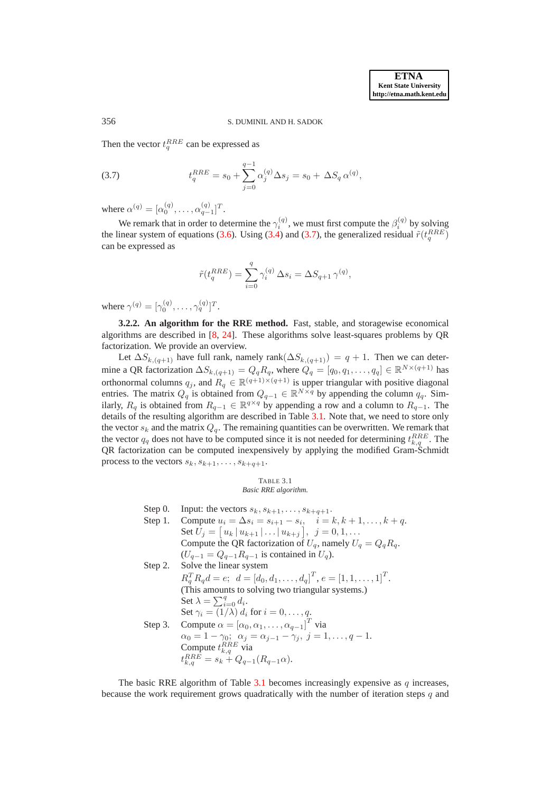#### 356 S. DUMINIL AND H. SADOK

Then the vector  $t_q^{RRE}$  can be expressed as

(3.7) 
$$
t_q^{RRE} = s_0 + \sum_{j=0}^{q-1} \alpha_j^{(q)} \Delta s_j = s_0 + \Delta S_q \alpha^{(q)},
$$

where  $\alpha^{(q)} = [\alpha_0^{(q)}, \dots, \alpha_{q-1}^{(q)}]^T$ .

We remark that in order to determine the  $\gamma_i^{(q)}$ , we must first compute the  $\beta_i^{(q)}$  by solving the linear system of equations [\(3.6\)](#page-8-1). Using [\(3.4\)](#page-8-2) and [\(3.7\)](#page-9-0), the generalized residual  $\tilde{r}(t_q^{RRE})$ can be expressed as

<span id="page-9-0"></span>
$$
\tilde{r}(t_q^{RRE}) = \sum_{i=0}^q \gamma_i^{(q)} \Delta s_i = \Delta S_{q+1} \gamma^{(q)},
$$

where  $\gamma^{(q)} = [\gamma_0^{(q)}, \dots, \gamma_q^{(q)}]^T$ .

**3.2.2. An algorithm for the RRE method.** Fast, stable, and storagewise economical algorithms are described in [\[8,](#page-15-24) [24\]](#page-15-14). These algorithms solve least-squares problems by QR factorization. We provide an overview.

Let  $\Delta S_{k,(q+1)}$  have full rank, namely rank $(\Delta S_{k,(q+1)}) = q + 1$ . Then we can determine a QR factorization  $\Delta S_{k,(q+1)} = Q_q R_q$ , where  $Q_q = [q_0, q_1, \ldots, q_q] \in \mathbb{R}^{N \times (q+1)}$  has orthonormal columns  $q_j$ , and  $R_q \in \mathbb{R}^{(q+1)\times(q+1)}$  is upper triangular with positive diagonal entries. The matrix  $Q_q$  is obtained from  $Q_{q-1} \in \mathbb{R}^{N \times q}$  by appending the column  $q_q$ . Similarly,  $R_q$  is obtained from  $R_{q-1} \in \mathbb{R}^{q \times q}$  by appending a row and a column to  $R_{q-1}$ . The details of the resulting algorithm are described in Table [3.1.](#page-9-1) Note that, we need to store only the vector  $s_k$  and the matrix  $Q_q$ . The remaining quantities can be overwritten. We remark that the vector  $q_q$  does not have to be computed since it is not needed for determining  $t_{k,q}^{RRE}$ . The QR factorization can be computed inexpensively by applying the modified Gram-Schmidt process to the vectors  $s_k, s_{k+1}, \ldots, s_{k+q+1}$ .

<span id="page-9-1"></span>TABLE 3.1 *Basic RRE algorithm.*

Step 0. Input: the vectors  $s_k, s_{k+1}, \ldots, s_{k+q+1}$ . Step 1. Compute  $u_i = \Delta s_i = s_{i+1} - s_i$ ,  $i = k, k + 1, ..., k + q$ . Set  $U_j = [u_k | u_{k+1} | \dots | u_{k+j}], j = 0, 1, \dots$ Compute the QR factorization of  $U_q$ , namely  $U_q = Q_q R_q$ .  $(U_{q-1} = Q_{q-1}R_{q-1}$  is contained in  $U_q$ ). Step 2. Solve the linear system  $R_q^T R_q d = e; d = [d_0, d_1, \dots, d_q]^T, e = [1, 1, \dots, 1]^T.$ (This amounts to solving two triangular systems.) Set  $\lambda = \sum_{i=0}^{q} d_i$ . Set  $\gamma_i = (1/\lambda) d_i$  for  $i = 0, \ldots, q$ . Step 3. Compute  $\alpha = [\alpha_0, \alpha_1, \dots, \alpha_{q-1}]^T$  via  $\alpha_0 = 1 - \gamma_0; \ \alpha_j = \alpha_{j-1} - \gamma_j, \ j = 1, \ldots, q-1.$ Compute  $t_{k,q}^{RRE}$  via  $t_{k,q}^{RRE} = s_k + Q_{q-1}(R_{q-1}\alpha).$ 

The basic RRE algorithm of Table [3.1](#page-9-1) becomes increasingly expensive as  $q$  increases, because the work requirement grows quadratically with the number of iteration steps q and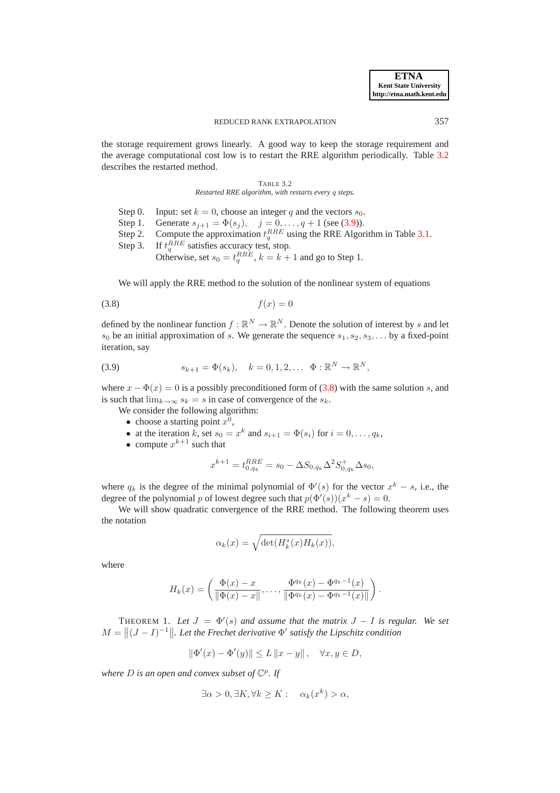the storage requirement grows linearly. A good way to keep the storage requirement and the average computational cost low is to restart the RRE algorithm periodically. Table [3.2](#page-10-0) describes the restarted method.

### <span id="page-10-2"></span><span id="page-10-0"></span>TABLE 3.2 *Restarted RRE algorithm, with restarts every* q *steps.*

- Step 0. Input: set  $k = 0$ , choose an integer q and the vectors  $s_0$ .
- Step 1. Generate  $s_{j+1} = \Phi(s_j)$ ,  $j = 0, ..., q + 1$  (see [\(3.9\)](#page-10-1)).
- Step 2. Compute the approximation  $t_q^{RRE}$  using the RRE Algorithm in Table [3.1.](#page-9-1)
- Step 3.  $R_{q}^{RRE}$  satisfies accuracy test, stop. Otherwise, set  $s_0 = t_q^{RRE}$ ,  $k = k + 1$  and go to Step 1.

We will apply the RRE method to the solution of the nonlinear system of equations

$$
(3.8)\qquad \qquad f(x) = 0
$$

defined by the nonlinear function  $f : \mathbb{R}^N \to \mathbb{R}^N$ . Denote the solution of interest by s and let  $s_0$  be an initial approximation of s. We generate the sequence  $s_1, s_2, s_3, \ldots$  by a fixed-point iteration, say

<span id="page-10-1"></span>(3.9) 
$$
s_{k+1} = \Phi(s_k), \quad k = 0, 1, 2, \dots \Phi : \mathbb{R}^N \to \mathbb{R}^N,
$$

where  $x - \Phi(x) = 0$  is a possibly preconditioned form of [\(3.8\)](#page-10-2) with the same solution s, and is such that  $\lim_{k\to\infty} s_k = s$  in case of convergence of the  $s_k$ .

- We consider the following algorithm:
	- choose a starting point  $x^0$ ,
	- at the iteration k, set  $s_0 = x^k$  and  $s_{i+1} = \Phi(s_i)$  for  $i = 0, \ldots, q_k$ ,
	- compute  $x^{k+1}$  such that

$$
x^{k+1} = t_{0,q_k}^{RRE} = s_0 - \Delta S_{0,q_k} \Delta^2 S_{0,q_k}^+ \Delta s_0,
$$

where  $q_k$  is the degree of the minimal polynomial of  $\Phi'(s)$  for the vector  $x^k - s$ , i.e., the degree of the polynomial p of lowest degree such that  $p(\Phi'(s))(x^k - s) = 0$ .

We will show quadratic convergence of the RRE method. The following theorem uses the notation

$$
\alpha_k(x) = \sqrt{\det(H_k^*(x)H_k(x))},
$$

where

$$
H_k(x) = \left(\frac{\Phi(x) - x}{\|\Phi(x) - x\|}, \dots, \frac{\Phi^{q_k}(x) - \Phi^{q_k-1}(x)}{\|\Phi^{q_k}(x) - \Phi^{q_k-1}(x)\|}\right).
$$

THEOREM 1. Let  $J = \Phi'(s)$  and assume that the matrix  $J - I$  is regular. We set  $M = \left\| (J - I)^{-1} \right\|$ . Let the Frechet derivative  $\Phi'$  satisfy the Lipschitz condition

$$
\|\Phi'(x) - \Phi'(y)\| \le L \|x - y\| \,, \quad \forall x, y \in D,
$$

where *D* is an open and convex subset of  $\mathbb{C}^p$ . If

$$
\exists \alpha > 0, \exists K, \forall k \ge K : \quad \alpha_k(x^k) > \alpha,
$$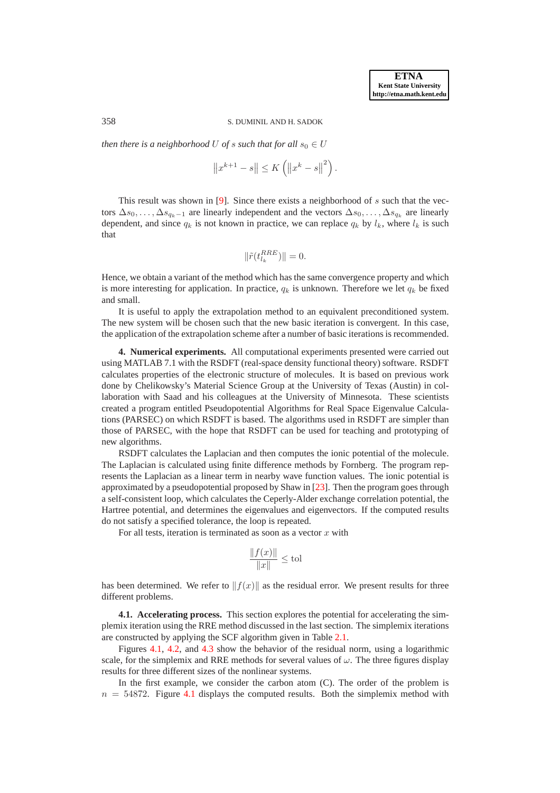#### 358 S. DUMINIL AND H. SADOK

*then there is a neighborhood* U *of* s such that for all  $s_0 \in U$ 

$$
||x^{k+1} - s|| \le K (||x^{k} - s||^{2}).
$$

This result was shown in [\[9\]](#page-15-22). Since there exists a neighborhood of  $s$  such that the vectors  $\Delta s_0, \ldots, \Delta s_{q_k-1}$  are linearly independent and the vectors  $\Delta s_0, \ldots, \Delta s_{q_k}$  are linearly dependent, and since  $q_k$  is not known in practice, we can replace  $q_k$  by  $l_k$ , where  $l_k$  is such that

$$
\|\tilde{r}(t_{l_k}^{RRE})\| = 0.
$$

Hence, we obtain a variant of the method which has the same convergence property and which is more interesting for application. In practice,  $q_k$  is unknown. Therefore we let  $q_k$  be fixed and small.

It is useful to apply the extrapolation method to an equivalent preconditioned system. The new system will be chosen such that the new basic iteration is convergent. In this case, the application of the extrapolation scheme after a number of basic iterations is recommended.

<span id="page-11-0"></span>**4. Numerical experiments.** All computational experiments presented were carried out using MATLAB 7.1 with the RSDFT (real-space density functional theory) software. RSDFT calculates properties of the electronic structure of molecules. It is based on previous work done by Chelikowsky's Material Science Group at the University of Texas (Austin) in collaboration with Saad and his colleagues at the University of Minnesota. These scientists created a program entitled Pseudopotential Algorithms for Real Space Eigenvalue Calculations (PARSEC) on which RSDFT is based. The algorithms used in RSDFT are simpler than those of PARSEC, with the hope that RSDFT can be used for teaching and prototyping of new algorithms.

RSDFT calculates the Laplacian and then computes the ionic potential of the molecule. The Laplacian is calculated using finite difference methods by Fornberg. The program represents the Laplacian as a linear term in nearby wave function values. The ionic potential is approximated by a pseudopotential proposed by Shaw in [\[23\]](#page-15-25). Then the program goes through a self-consistent loop, which calculates the Ceperly-Alder exchange correlation potential, the Hartree potential, and determines the eigenvalues and eigenvectors. If the computed results do not satisfy a specified tolerance, the loop is repeated.

For all tests, iteration is terminated as soon as a vector  $x$  with

$$
\frac{\|f(x)\|}{\|x\|} \le \text{tol}
$$

has been determined. We refer to  $||f(x)||$  as the residual error. We present results for three different problems.

**4.1. Accelerating process.** This section explores the potential for accelerating the simplemix iteration using the RRE method discussed in the last section. The simplemix iterations are constructed by applying the SCF algorithm given in Table [2.1.](#page-2-0)

Figures [4.1,](#page-12-0) [4.2,](#page-13-0) and [4.3](#page-13-1) show the behavior of the residual norm, using a logarithmic scale, for the simplemix and RRE methods for several values of  $\omega$ . The three figures display results for three different sizes of the nonlinear systems.

In the first example, we consider the carbon atom (C). The order of the problem is  $n = 54872$ . Figure [4.1](#page-12-0) displays the computed results. Both the simplemix method with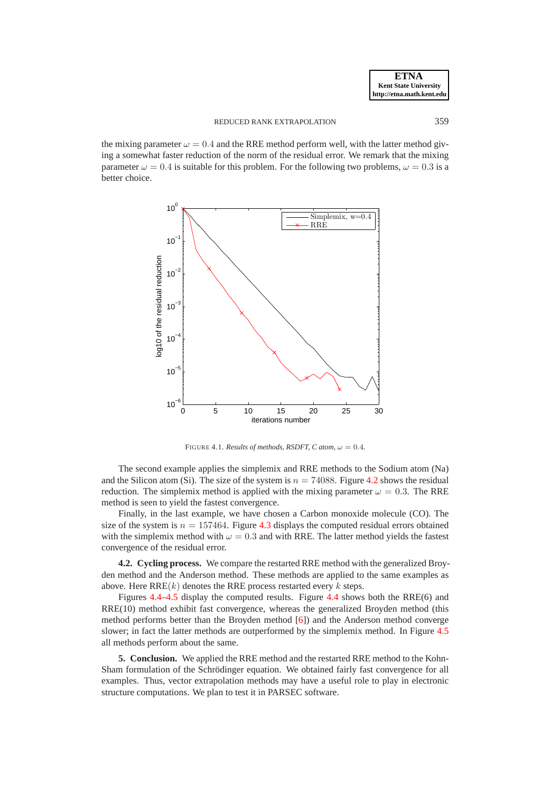the mixing parameter  $\omega = 0.4$  and the RRE method perform well, with the latter method giving a somewhat faster reduction of the norm of the residual error. We remark that the mixing parameter  $\omega = 0.4$  is suitable for this problem. For the following two problems,  $\omega = 0.3$  is a better choice.



<span id="page-12-0"></span>FIGURE 4.1. *Results of methods, RSDFT, C atom,*  $\omega = 0.4$ *.* 

The second example applies the simplemix and RRE methods to the Sodium atom (Na) and the Silicon atom (Si). The size of the system is  $n = 74088$ . Figure [4.2](#page-13-0) shows the residual reduction. The simplemix method is applied with the mixing parameter  $\omega = 0.3$ . The RRE method is seen to yield the fastest convergence.

Finally, in the last example, we have chosen a Carbon monoxide molecule (CO). The size of the system is  $n = 157464$ . Figure [4.3](#page-13-1) displays the computed residual errors obtained with the simplemix method with  $\omega = 0.3$  and with RRE. The latter method yields the fastest convergence of the residual error.

**4.2. Cycling process.** We compare the restarted RRE method with the generalized Broyden method and the Anderson method. These methods are applied to the same examples as above. Here  $RRE(k)$  denotes the RRE process restarted every k steps.

Figures [4.4–](#page-14-0)[4.5](#page-14-1) display the computed results. Figure [4.4](#page-14-0) shows both the RRE(6) and RRE(10) method exhibit fast convergence, whereas the generalized Broyden method (this method performs better than the Broyden method [\[6\]](#page-15-0)) and the Anderson method converge slower; in fact the latter methods are outperformed by the simplemix method. In Figure [4.5](#page-14-1) all methods perform about the same.

**5. Conclusion.** We applied the RRE method and the restarted RRE method to the Kohn-Sham formulation of the Schrödinger equation. We obtained fairly fast convergence for all examples. Thus, vector extrapolation methods may have a useful role to play in electronic structure computations. We plan to test it in PARSEC software.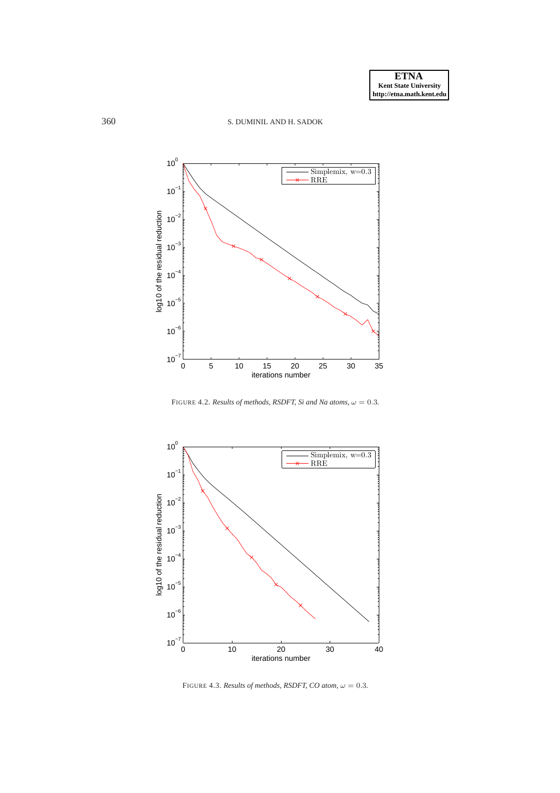```
360 S. DUMINIL AND H. SADOK
```


<span id="page-13-0"></span>FIGURE 4.2. *Results of methods, RSDFT, Si and Na atoms,*  $\omega = 0.3$ *.* 



<span id="page-13-1"></span>FIGURE 4.3. *Results of methods, RSDFT, CO atom,*  $\omega = 0.3$ *.*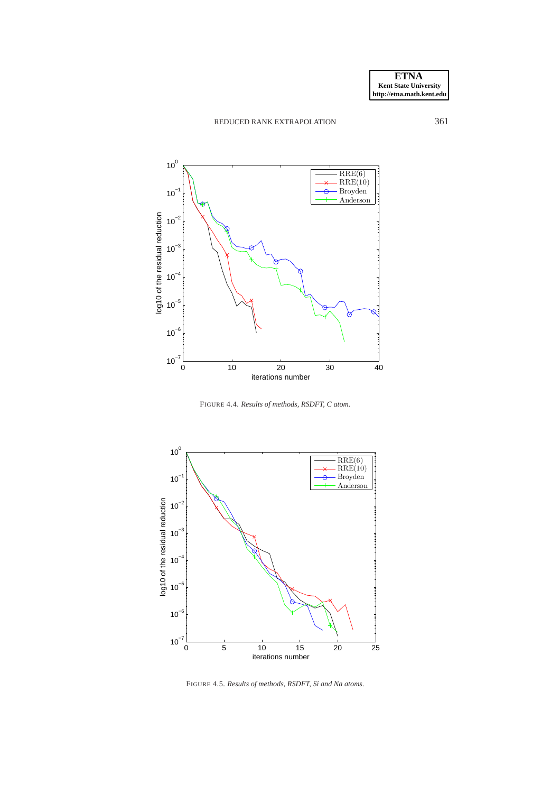# REDUCED RANK EXTRAPOLATION 361



<span id="page-14-0"></span>FIGURE 4.4. *Results of methods, RSDFT, C atom.*



<span id="page-14-1"></span>FIGURE 4.5. *Results of methods, RSDFT, Si and Na atoms.*